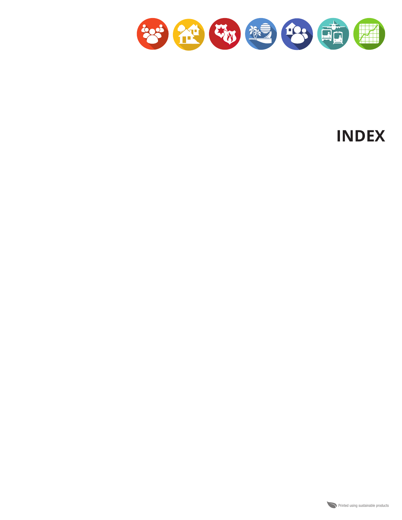

**INDEX**

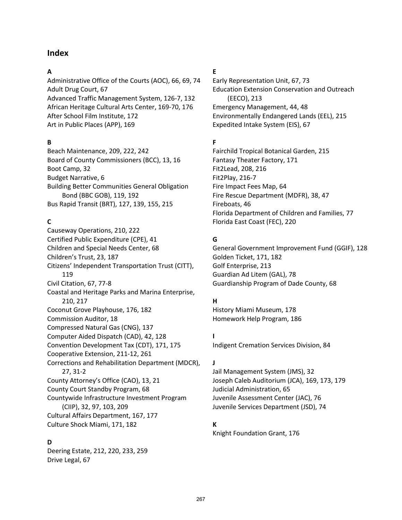# **Index**

#### **A**

Administrative Office of the Courts (AOC), 66, 69, 74 Adult Drug Court, 67 Advanced Traffic Management System, 126-7, 132 African Heritage Cultural Arts Center, 169-70, 176 After School Film Institute, 172 Art in Public Places (APP), 169

## **B**

Beach Maintenance, 209, 222, 242 Board of County Commissioners (BCC), 13, 16 Boot Camp, 32 Budget Narrative, 6 Building Better Communities General Obligation Bond (BBC GOB), 119, 192 Bus Rapid Transit (BRT), 127, 139, 155, 215

# **C**

Causeway Operations, 210, 222 Certified Public Expenditure (CPE), 41 Children and Special Needs Center, 68 Children's Trust, 23, 187 Citizens' Independent Transportation Trust (CITT), 119 Civil Citation, 67, 77-8 Coastal and Heritage Parks and Marina Enterprise, 210, 217 Coconut Grove Playhouse, 176, 182 Commission Auditor, 18 Compressed Natural Gas (CNG), 137 Computer Aided Dispatch (CAD), 42, 128 Convention Development Tax (CDT), 171, 175 Cooperative Extension, 211-12, 261 Corrections and Rehabilitation Department (MDCR), 27, 31-2 County Attorney's Office (CAO), 13, 21 County Court Standby Program, 68 Countywide Infrastructure Investment Program (CIIP), 32, 97, 103, 209 Cultural Affairs Department, 167, 177 Culture Shock Miami, 171, 182

## **D**

Deering Estate, 212, 220, 233, 259 Drive Legal, 67

## **E**

Early Representation Unit, 67, 73 Education Extension Conservation and Outreach (EECO), 213 Emergency Management, 44, 48 Environmentally Endangered Lands (EEL), 215 Expedited Intake System (EIS), 67

# **F**

Fairchild Tropical Botanical Garden, 215 Fantasy Theater Factory, 171 Fit2Lead, 208, 216 Fit2Play, 216-7 Fire Impact Fees Map, 64 Fire Rescue Department (MDFR), 38, 47 Fireboats, 46 Florida Department of Children and Families, 77 Florida East Coast (FEC), 220

# **G**

General Government Improvement Fund (GGIF), 128 Golden Ticket, 171, 182 Golf Enterprise, 213 Guardian Ad Litem (GAL), 78 Guardianship Program of Dade County, 68

## **H**

History Miami Museum, 178 Homework Help Program, 186

**I** Indigent Cremation Services Division, 84

## **J**

Jail Management System (JMS), 32 Joseph Caleb Auditorium (JCA), 169, 173, 179 Judicial Administration, 65 Juvenile Assessment Center (JAC), 76 Juvenile Services Department (JSD), 74

## **K**

Knight Foundation Grant, 176